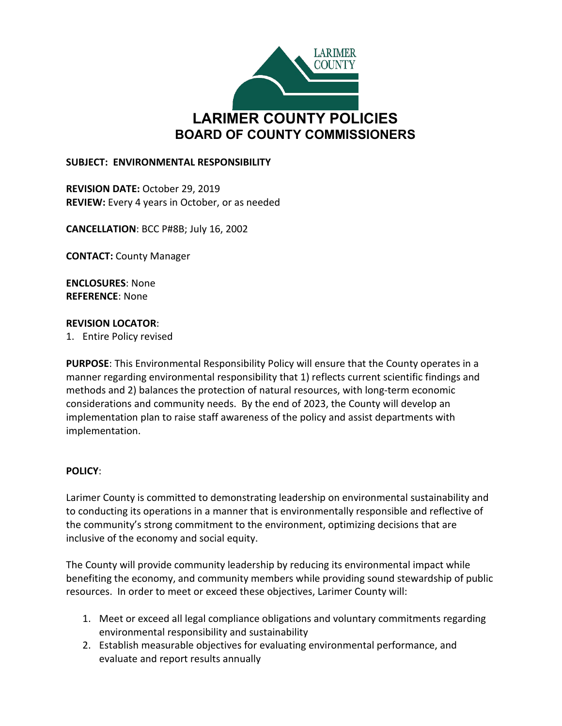

## **SUBJECT: ENVIRONMENTAL RESPONSIBILITY**

**REVISION DATE:** October 29, 2019 **REVIEW:** Every 4 years in October, or as needed

**CANCELLATION**: BCC P#8B; July 16, 2002

**CONTACT:** County Manager

**ENCLOSURES**: None **REFERENCE**: None

## **REVISION LOCATOR**:

1. Entire Policy revised

**PURPOSE**: This Environmental Responsibility Policy will ensure that the County operates in a manner regarding environmental responsibility that 1) reflects current scientific findings and methods and 2) balances the protection of natural resources, with long-term economic considerations and community needs. By the end of 2023, the County will develop an implementation plan to raise staff awareness of the policy and assist departments with implementation.

## **POLICY**:

Larimer County is committed to demonstrating leadership on environmental sustainability and to conducting its operations in a manner that is environmentally responsible and reflective of the community's strong commitment to the environment, optimizing decisions that are inclusive of the economy and social equity.

The County will provide community leadership by reducing its environmental impact while benefiting the economy, and community members while providing sound stewardship of public resources. In order to meet or exceed these objectives, Larimer County will:

- 1. Meet or exceed all legal compliance obligations and voluntary commitments regarding environmental responsibility and sustainability
- 2. Establish measurable objectives for evaluating environmental performance, and evaluate and report results annually